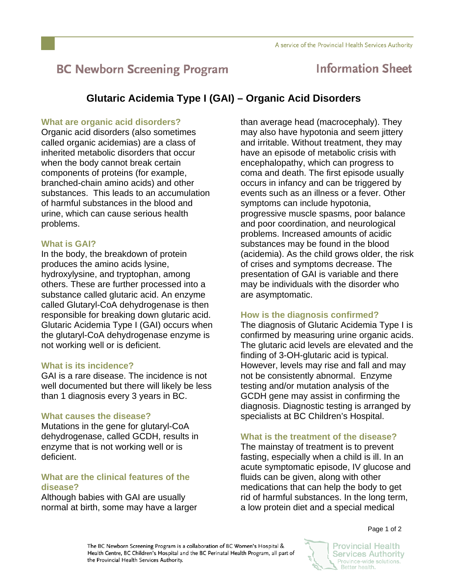# **BC Newborn Screening Program**

## **Information Sheet**

### **Glutaric Acidemia Type I (GAI) – Organic Acid Disorders**

#### **What are organic acid disorders?**

Organic acid disorders (also sometimes called organic acidemias) are a class of inherited metabolic disorders that occur when the body cannot break certain components of proteins (for example, branched-chain amino acids) and other substances. This leads to an accumulation of harmful substances in the blood and urine, which can cause serious health problems.

#### **What is GAI?**

In the body, the breakdown of protein produces the amino acids lysine, hydroxylysine, and tryptophan, among others. These are further processed into a substance called glutaric acid. An enzyme called Glutaryl-CoA dehydrogenase is then responsible for breaking down glutaric acid. Glutaric Acidemia Type I (GAI) occurs when the glutaryl-CoA dehydrogenase enzyme is not working well or is deficient.

#### **What is its incidence?**

GAI is a rare disease. The incidence is not well documented but there will likely be less than 1 diagnosis every 3 years in BC.

#### **What causes the disease?**

Mutations in the gene for glutaryl-CoA dehydrogenase, called GCDH, results in enzyme that is not working well or is deficient.

#### **What are the clinical features of the disease?**

Although babies with GAI are usually normal at birth, some may have a larger than average head (macrocephaly). They may also have hypotonia and seem jittery and irritable. Without treatment, they may have an episode of metabolic crisis with encephalopathy, which can progress to coma and death. The first episode usually occurs in infancy and can be triggered by events such as an illness or a fever. Other symptoms can include hypotonia, progressive muscle spasms, poor balance and poor coordination, and neurological problems. Increased amounts of acidic substances may be found in the blood (acidemia). As the child grows older, the risk of crises and symptoms decrease. The presentation of GAI is variable and there may be individuals with the disorder who are asymptomatic.

#### **How is the diagnosis confirmed?**

The diagnosis of Glutaric Acidemia Type I is confirmed by measuring urine organic acids. The glutaric acid levels are elevated and the finding of 3-OH-glutaric acid is typical. However, levels may rise and fall and may not be consistently abnormal. Enzyme testing and/or mutation analysis of the GCDH gene may assist in confirming the diagnosis. Diagnostic testing is arranged by specialists at BC Children's Hospital.

#### **What is the treatment of the disease?**

The mainstay of treatment is to prevent fasting, especially when a child is ill. In an acute symptomatic episode, IV glucose and fluids can be given, along with other medications that can help the body to get rid of harmful substances. In the long term, a low protein diet and a special medical

Page 1 of 2

The BC Newborn Screening Program is a collaboration of BC Women's Hospital & Health Centre, BC Children's Hospital and the BC Perinatal Health Program, all part of the Provincial Health Services Authority.